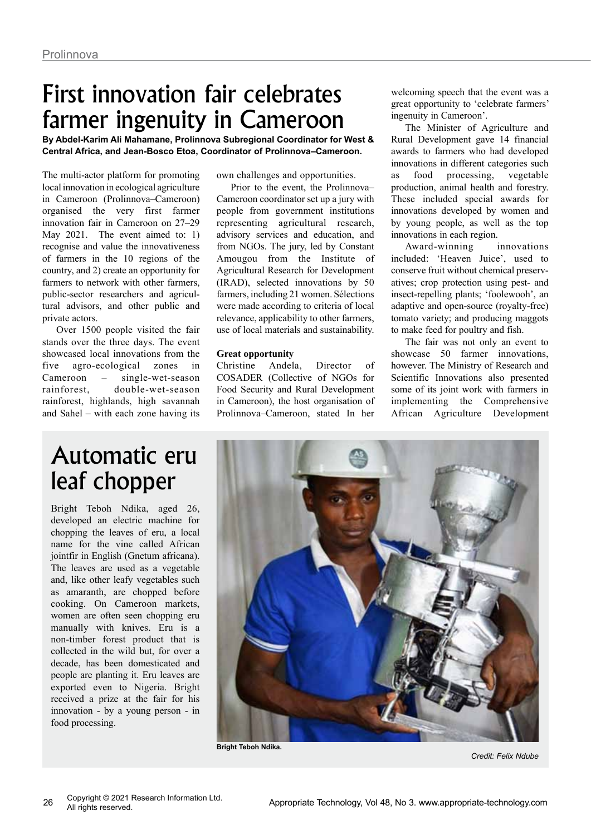## First innovation fair celebrates farmer ingenuity in Cameroon

**By Abdel-Karim Ali Mahamane, Prolinnova Subregional Coordinator for West & Central Africa, and Jean-Bosco Etoa, Coordinator of Prolinnova–Cameroon.**

The multi-actor platform for promoting local innovation in ecological agriculture in Cameroon (Prolinnova–Cameroon) organised the very first farmer innovation fair in Cameroon on 27–29 May 2021. The event aimed to: 1) recognise and value the innovativeness of farmers in the 10 regions of the country, and 2) create an opportunity for farmers to network with other farmers, public-sector researchers and agricultural advisors, and other public and private actors.

Over 1500 people visited the fair stands over the three days. The event showcased local innovations from the five agro-ecological zones in Cameroon – single-wet-season rainforest, double-wet-season rainforest, highlands, high savannah and Sahel – with each zone having its own challenges and opportunities.

Prior to the event, the Prolinnova– Cameroon coordinator set up a jury with people from government institutions representing agricultural research, advisory services and education, and from NGOs. The jury, led by Constant Amougou from the Institute of Agricultural Research for Development (IRAD), selected innovations by 50 farmers, including 21 women. Sélections were made according to criteria of local relevance, applicability to other farmers, use of local materials and sustainability.

### **Great opportunity**

Christine Andela, Director of COSADER (Collective of NGOs for Food Security and Rural Development in Cameroon), the host organisation of Prolinnova–Cameroon, stated In her welcoming speech that the event was a great opportunity to 'celebrate farmers' ingenuity in Cameroon'.

The Minister of Agriculture and Rural Development gave 14 financial awards to farmers who had developed innovations in different categories such as food processing, vegetable production, animal health and forestry. These included special awards for innovations developed by women and by young people, as well as the top innovations in each region.

Award-winning innovations included: 'Heaven Juice', used to conserve fruit without chemical preservatives; crop protection using pest- and insect-repelling plants; 'foolewooh', an adaptive and open-source (royalty-free) tomato variety; and producing maggots to make feed for poultry and fish.

The fair was not only an event to showcase 50 farmer innovations, however. The Ministry of Research and Scientific Innovations also presented some of its joint work with farmers in implementing the Comprehensive African Agriculture Development

### Automatic eru leaf chopper

Bright Teboh Ndika, aged 26, developed an electric machine for chopping the leaves of eru, a local name for the vine called African jointfir in English (Gnetum africana). The leaves are used as a vegetable and, like other leafy vegetables such as amaranth, are chopped before cooking. On Cameroon markets, women are often seen chopping eru manually with knives. Eru is a non-timber forest product that is collected in the wild but, for over a decade, has been domesticated and people are planting it. Eru leaves are exported even to Nigeria. Bright received a prize at the fair for his innovation - by a young person - in food processing.



**Bright Teboh Ndika.**

*Credit: Felix Ndube*